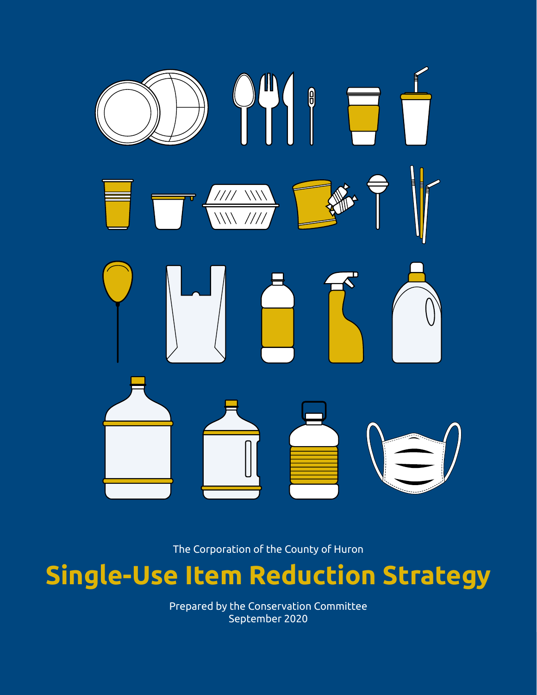

The Corporation of the County of Huron

## **Single-Use Item Reduction Strategy**

Prepared by the Conservation Committee September 2020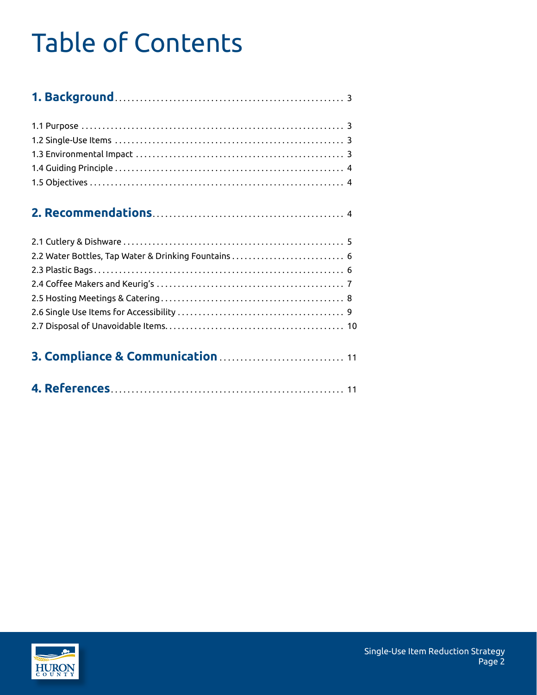## Table of Contents

#### **2. Recommendations** . . . . . . . . . . . . . . . . . . . . . . . . . . . . . . . . . . . . . . . . . . . . . . 4

| 2.2 Water Bottles, Tap Water & Drinking Fountains  6 |  |
|------------------------------------------------------|--|
|                                                      |  |
|                                                      |  |
|                                                      |  |
|                                                      |  |
|                                                      |  |
|                                                      |  |

|--|--|--|--|--|

|--|--|--|--|--|--|--|

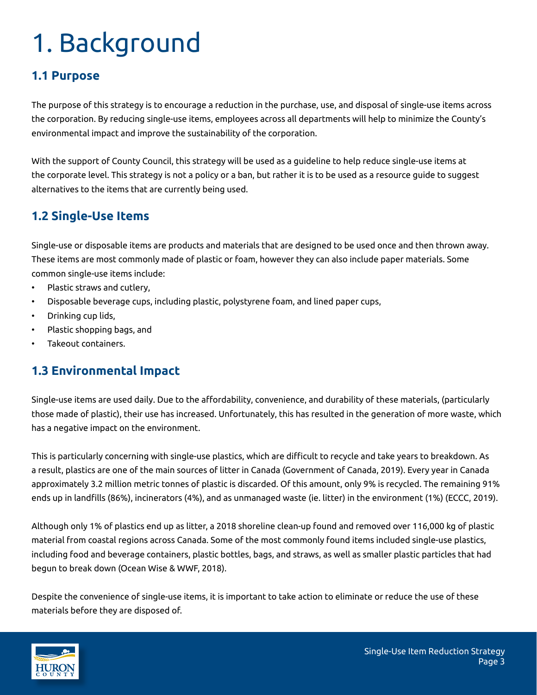# 1. Background

#### **1.1 Purpose**

The purpose of this strategy is to encourage a reduction in the purchase, use, and disposal of single-use items across the corporation. By reducing single-use items, employees across all departments will help to minimize the County's environmental impact and improve the sustainability of the corporation.

With the support of County Council, this strategy will be used as a guideline to help reduce single-use items at the corporate level. This strategy is not a policy or a ban, but rather it is to be used as a resource guide to suggest alternatives to the items that are currently being used.

#### **1.2 Single-Use Items**

Single-use or disposable items are products and materials that are designed to be used once and then thrown away. These items are most commonly made of plastic or foam, however they can also include paper materials. Some common single-use items include:

- Plastic straws and cutlery,
- Disposable beverage cups, including plastic, polystyrene foam, and lined paper cups,
- Drinking cup lids,
- Plastic shopping bags, and
- Takeout containers.

#### **1.3 Environmental Impact**

Single-use items are used daily. Due to the affordability, convenience, and durability of these materials, (particularly those made of plastic), their use has increased. Unfortunately, this has resulted in the generation of more waste, which has a negative impact on the environment.

This is particularly concerning with single-use plastics, which are difficult to recycle and take years to breakdown. As a result, plastics are one of the main sources of litter in Canada (Government of Canada, 2019). Every year in Canada approximately 3.2 million metric tonnes of plastic is discarded. Of this amount, only 9% is recycled. The remaining 91% ends up in landfills (86%), incinerators (4%), and as unmanaged waste (ie. litter) in the environment (1%) (ECCC, 2019).

Although only 1% of plastics end up as litter, a 2018 shoreline clean-up found and removed over 116,000 kg of plastic material from coastal regions across Canada. Some of the most commonly found items included single-use plastics, including food and beverage containers, plastic bottles, bags, and straws, as well as smaller plastic particles that had begun to break down (Ocean Wise & WWF, 2018).

Despite the convenience of single-use items, it is important to take action to eliminate or reduce the use of these materials before they are disposed of.

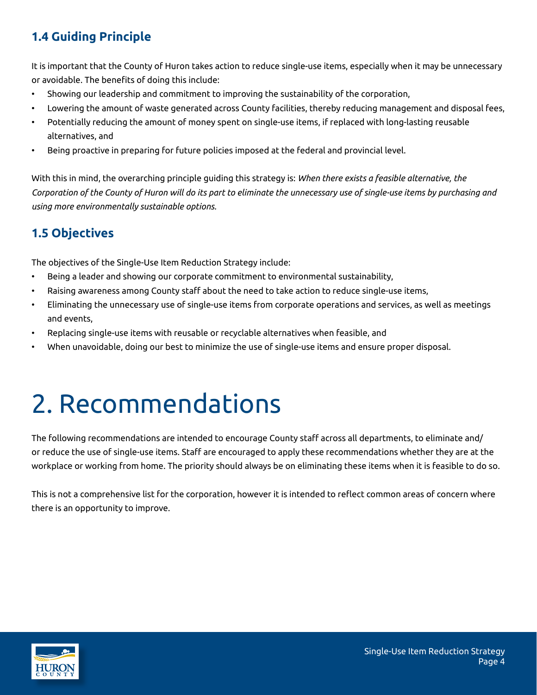### **1.4 Guiding Principle**

It is important that the County of Huron takes action to reduce single-use items, especially when it may be unnecessary or avoidable. The benefits of doing this include:

- Showing our leadership and commitment to improving the sustainability of the corporation,
- Lowering the amount of waste generated across County facilities, thereby reducing management and disposal fees,
- Potentially reducing the amount of money spent on single-use items, if replaced with long-lasting reusable alternatives, and
- Being proactive in preparing for future policies imposed at the federal and provincial level.

With this in mind, the overarching principle guiding this strategy is: *When there exists a feasible alternative, the Corporation of the County of Huron will do its part to eliminate the unnecessary use of single-use items by purchasing and using more environmentally sustainable options.*

### **1.5 Objectives**

The objectives of the Single-Use Item Reduction Strategy include:

- Being a leader and showing our corporate commitment to environmental sustainability,
- Raising awareness among County staff about the need to take action to reduce single-use items,
- Eliminating the unnecessary use of single-use items from corporate operations and services, as well as meetings and events,
- Replacing single-use items with reusable or recyclable alternatives when feasible, and
- When unavoidable, doing our best to minimize the use of single-use items and ensure proper disposal.

## 2. Recommendations

The following recommendations are intended to encourage County staff across all departments, to eliminate and/ or reduce the use of single-use items. Staff are encouraged to apply these recommendations whether they are at the workplace or working from home. The priority should always be on eliminating these items when it is feasible to do so.

This is not a comprehensive list for the corporation, however it is intended to reflect common areas of concern where there is an opportunity to improve.

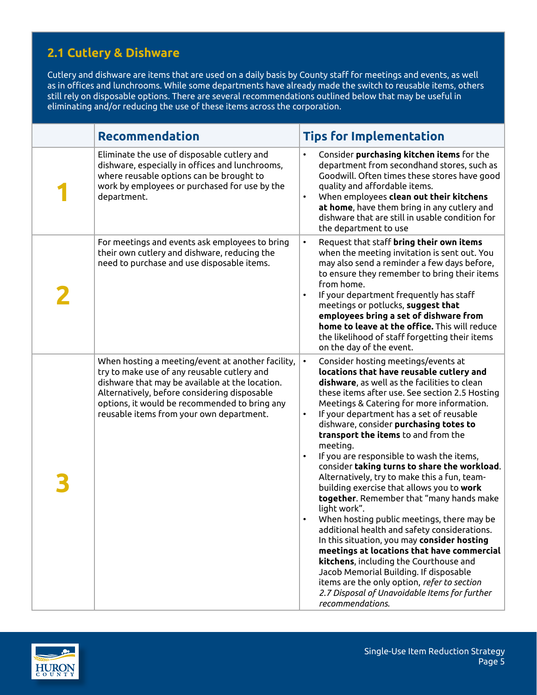### **2.1 Cutlery & Dishware**

Cutlery and dishware are items that are used on a daily basis by County staff for meetings and events, as well as in offices and lunchrooms. While some departments have already made the switch to reusable items, others still rely on disposable options. There are several recommendations outlined below that may be useful in eliminating and/or reducing the use of these items across the corporation.

| <b>Recommendation</b>                                                                                                                                                                                                                                                                            | <b>Tips for Implementation</b>                                                                                                                                                                                                                                                                                                                                                                                                                                                                                                                                                                                                                                                                                                                                                                                                                                                                                                                                                                                                                                          |
|--------------------------------------------------------------------------------------------------------------------------------------------------------------------------------------------------------------------------------------------------------------------------------------------------|-------------------------------------------------------------------------------------------------------------------------------------------------------------------------------------------------------------------------------------------------------------------------------------------------------------------------------------------------------------------------------------------------------------------------------------------------------------------------------------------------------------------------------------------------------------------------------------------------------------------------------------------------------------------------------------------------------------------------------------------------------------------------------------------------------------------------------------------------------------------------------------------------------------------------------------------------------------------------------------------------------------------------------------------------------------------------|
| Eliminate the use of disposable cutlery and<br>dishware, especially in offices and lunchrooms,<br>where reusable options can be brought to<br>work by employees or purchased for use by the<br>department.                                                                                       | Consider purchasing kitchen items for the<br>$\bullet$<br>department from secondhand stores, such as<br>Goodwill. Often times these stores have good<br>quality and affordable items.<br>When employees clean out their kitchens<br>$\bullet$<br>at home, have them bring in any cutlery and<br>dishware that are still in usable condition for<br>the department to use                                                                                                                                                                                                                                                                                                                                                                                                                                                                                                                                                                                                                                                                                                |
| For meetings and events ask employees to bring<br>their own cutlery and dishware, reducing the<br>need to purchase and use disposable items.                                                                                                                                                     | $\bullet$<br>Request that staff bring their own items<br>when the meeting invitation is sent out. You<br>may also send a reminder a few days before,<br>to ensure they remember to bring their items<br>from home.<br>If your department frequently has staff<br>meetings or potlucks, suggest that<br>employees bring a set of dishware from<br>home to leave at the office. This will reduce<br>the likelihood of staff forgetting their items<br>on the day of the event.                                                                                                                                                                                                                                                                                                                                                                                                                                                                                                                                                                                            |
| When hosting a meeting/event at another facility,<br>try to make use of any reusable cutlery and<br>dishware that may be available at the location.<br>Alternatively, before considering disposable<br>options, it would be recommended to bring any<br>reusable items from your own department. | Consider hosting meetings/events at<br>$\bullet$<br>locations that have reusable cutlery and<br>dishware, as well as the facilities to clean<br>these items after use. See section 2.5 Hosting<br>Meetings & Catering for more information.<br>If your department has a set of reusable<br>$\bullet$<br>dishware, consider purchasing totes to<br>transport the items to and from the<br>meeting.<br>If you are responsible to wash the items,<br>$\bullet$<br>consider taking turns to share the workload.<br>Alternatively, try to make this a fun, team-<br>building exercise that allows you to work<br>together. Remember that "many hands make<br>light work".<br>When hosting public meetings, there may be<br>additional health and safety considerations.<br>In this situation, you may consider hosting<br>meetings at locations that have commercial<br>kitchens, including the Courthouse and<br>Jacob Memorial Building. If disposable<br>items are the only option, refer to section<br>2.7 Disposal of Unavoidable Items for further<br>recommendations. |

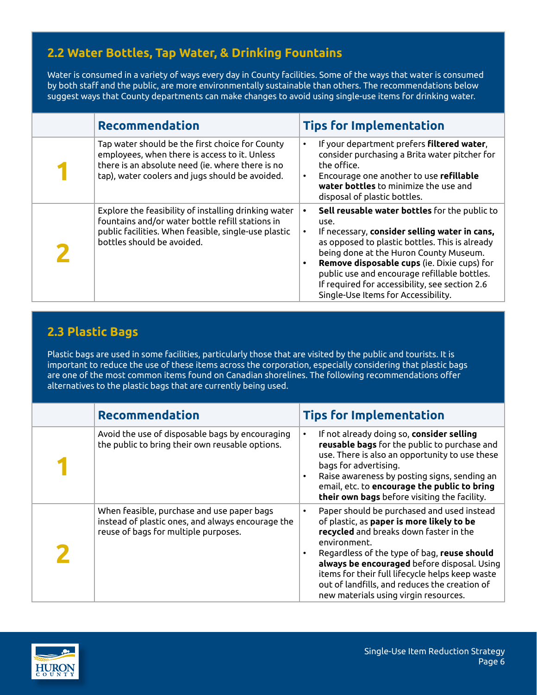#### **2.2 Water Bottles, Tap Water, & Drinking Fountains**

Water is consumed in a variety of ways every day in County facilities. Some of the ways that water is consumed by both staff and the public, are more environmentally sustainable than others. The recommendations below suggest ways that County departments can make changes to avoid using single-use items for drinking water.

| <b>Recommendation</b>                                                                                                                                                                                   | <b>Tips for Implementation</b>                                                                                                                                                                                                                                                                                                                                                                          |
|---------------------------------------------------------------------------------------------------------------------------------------------------------------------------------------------------------|---------------------------------------------------------------------------------------------------------------------------------------------------------------------------------------------------------------------------------------------------------------------------------------------------------------------------------------------------------------------------------------------------------|
| Tap water should be the first choice for County<br>employees, when there is access to it. Unless<br>there is an absolute need (ie. where there is no<br>tap), water coolers and jugs should be avoided. | If your department prefers filtered water,<br>$\bullet$<br>consider purchasing a Brita water pitcher for<br>the office.<br>Encourage one another to use refillable<br>water bottles to minimize the use and<br>disposal of plastic bottles.                                                                                                                                                             |
| Explore the feasibility of installing drinking water<br>fountains and/or water bottle refill stations in<br>public facilities. When feasible, single-use plastic<br>bottles should be avoided.          | Sell reusable water bottles for the public to<br>use.<br>If necessary, consider selling water in cans,<br>$\bullet$<br>as opposed to plastic bottles. This is already<br>being done at the Huron County Museum.<br>Remove disposable cups (ie. Dixie cups) for<br>public use and encourage refillable bottles.<br>If required for accessibility, see section 2.6<br>Single-Use Items for Accessibility. |

#### **2.3 Plastic Bags**

Plastic bags are used in some facilities, particularly those that are visited by the public and tourists. It is important to reduce the use of these items across the corporation, especially considering that plastic bags are one of the most common items found on Canadian shorelines. The following recommendations offer alternatives to the plastic bags that are currently being used.

| <b>Recommendation</b>                                                                                                                   | <b>Tips for Implementation</b>                                                                                                                                                                                                                                                                                                                                                                                 |
|-----------------------------------------------------------------------------------------------------------------------------------------|----------------------------------------------------------------------------------------------------------------------------------------------------------------------------------------------------------------------------------------------------------------------------------------------------------------------------------------------------------------------------------------------------------------|
| Avoid the use of disposable bags by encouraging<br>the public to bring their own reusable options.                                      | If not already doing so, consider selling<br>$\bullet$<br>reusable bags for the public to purchase and<br>use. There is also an opportunity to use these<br>bags for advertising.<br>Raise awareness by posting signs, sending an<br>$\bullet$<br>email, etc. to encourage the public to bring<br>their own bags before visiting the facility.                                                                 |
| When feasible, purchase and use paper bags<br>instead of plastic ones, and always encourage the<br>reuse of bags for multiple purposes. | Paper should be purchased and used instead<br>$\bullet$<br>of plastic, as paper is more likely to be<br>recycled and breaks down faster in the<br>environment.<br>Regardless of the type of bag, reuse should<br>٠<br>always be encouraged before disposal. Using<br>items for their full lifecycle helps keep waste<br>out of landfills, and reduces the creation of<br>new materials using virgin resources. |

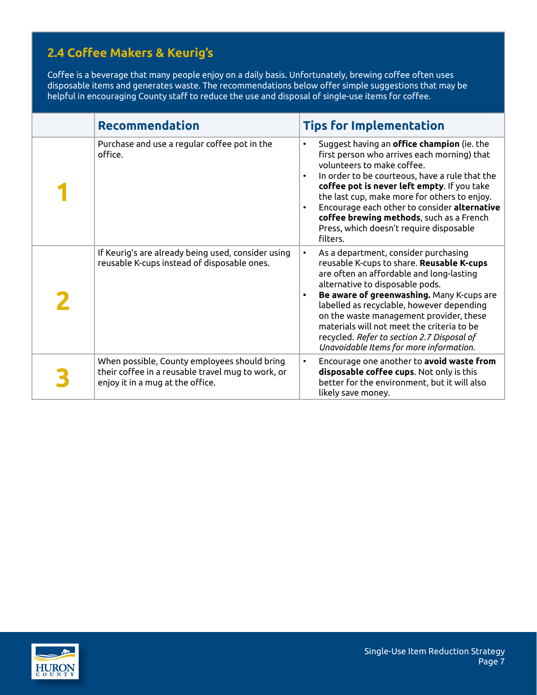### **2.4 Coffee Makers & Keurig's**

Coffee is a beverage that many people enjoy on a daily basis. Unfortunately, brewing coffee often uses disposable items and generates waste. The recommendations below offer simple suggestions that may be helpful in encouraging County staff to reduce the use and disposal of single-use items for coffee.

| <b>Recommendation</b>                                                                                                                 | <b>Tips for Implementation</b>                                                                                                                                                                                                                                                                                                                                                                                                                            |
|---------------------------------------------------------------------------------------------------------------------------------------|-----------------------------------------------------------------------------------------------------------------------------------------------------------------------------------------------------------------------------------------------------------------------------------------------------------------------------------------------------------------------------------------------------------------------------------------------------------|
| Purchase and use a regular coffee pot in the<br>office.                                                                               | Suggest having an office champion (ie. the<br>$\bullet$<br>first person who arrives each morning) that<br>volunteers to make coffee.<br>In order to be courteous, have a rule that the<br>$\bullet$<br>coffee pot is never left empty. If you take<br>the last cup, make more for others to enjoy.<br>Encourage each other to consider alternative<br>coffee brewing methods, such as a French<br>Press, which doesn't require disposable<br>filters.     |
| If Keurig's are already being used, consider using<br>reusable K-cups instead of disposable ones.                                     | As a department, consider purchasing<br>reusable K-cups to share. Reusable K-cups<br>are often an affordable and long-lasting<br>alternative to disposable pods.<br>Be aware of greenwashing. Many K-cups are<br>$\bullet$<br>labelled as recyclable, however depending<br>on the waste management provider, these<br>materials will not meet the criteria to be<br>recycled. Refer to section 2.7 Disposal of<br>Unavoidable Items for more information. |
| When possible, County employees should bring<br>their coffee in a reusable travel mug to work, or<br>enjoy it in a mug at the office. | Encourage one another to avoid waste from<br>٠<br>disposable coffee cups. Not only is this<br>better for the environment, but it will also<br>likely save money.                                                                                                                                                                                                                                                                                          |

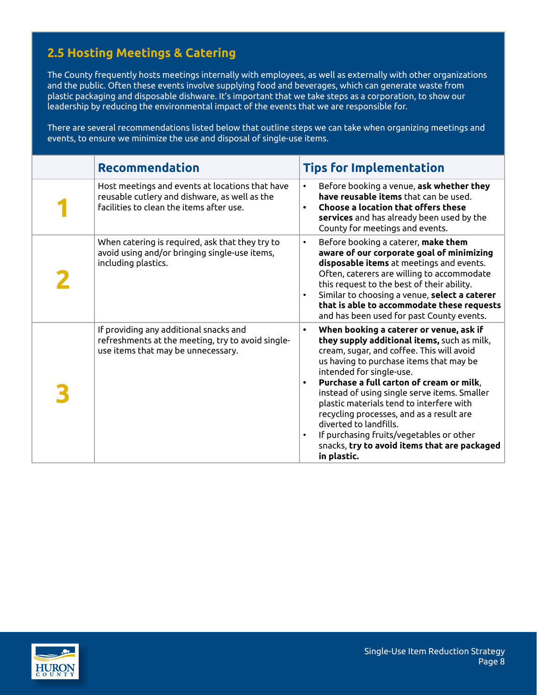### **2.5 Hosting Meetings & Catering**

The County frequently hosts meetings internally with employees, as well as externally with other organizations and the public. Often these events involve supplying food and beverages, which can generate waste from plastic packaging and disposable dishware. It's important that we take steps as a corporation, to show our leadership by reducing the environmental impact of the events that we are responsible for.

There are several recommendations listed below that outline steps we can take when organizing meetings and events, to ensure we minimize the use and disposal of single-use items.

| <b>Recommendation</b>                                                                                                                        | <b>Tips for Implementation</b>                                                                                                                                                                                                                                                                                                                                                                                                                                                                                                                                |
|----------------------------------------------------------------------------------------------------------------------------------------------|---------------------------------------------------------------------------------------------------------------------------------------------------------------------------------------------------------------------------------------------------------------------------------------------------------------------------------------------------------------------------------------------------------------------------------------------------------------------------------------------------------------------------------------------------------------|
| Host meetings and events at locations that have<br>reusable cutlery and dishware, as well as the<br>facilities to clean the items after use. | Before booking a venue, ask whether they<br>$\bullet$<br>have reusable items that can be used.<br><b>Choose a location that offers these</b><br>services and has already been used by the<br>County for meetings and events.                                                                                                                                                                                                                                                                                                                                  |
| When catering is required, ask that they try to<br>avoid using and/or bringing single-use items,<br>including plastics.                      | Before booking a caterer, make them<br>$\bullet$<br>aware of our corporate goal of minimizing<br>disposable items at meetings and events.<br>Often, caterers are willing to accommodate<br>this request to the best of their ability.<br>Similar to choosing a venue, select a caterer<br>$\bullet$<br>that is able to accommodate these requests<br>and has been used for past County events.                                                                                                                                                                |
| If providing any additional snacks and<br>refreshments at the meeting, try to avoid single-<br>use items that may be unnecessary.            | When booking a caterer or venue, ask if<br>$\bullet$<br>they supply additional items, such as milk,<br>cream, sugar, and coffee. This will avoid<br>us having to purchase items that may be<br>intended for single-use.<br>Purchase a full carton of cream or milk,<br>$\bullet$<br>instead of using single serve items. Smaller<br>plastic materials tend to interfere with<br>recycling processes, and as a result are<br>diverted to landfills.<br>If purchasing fruits/vegetables or other<br>snacks, try to avoid items that are packaged<br>in plastic. |

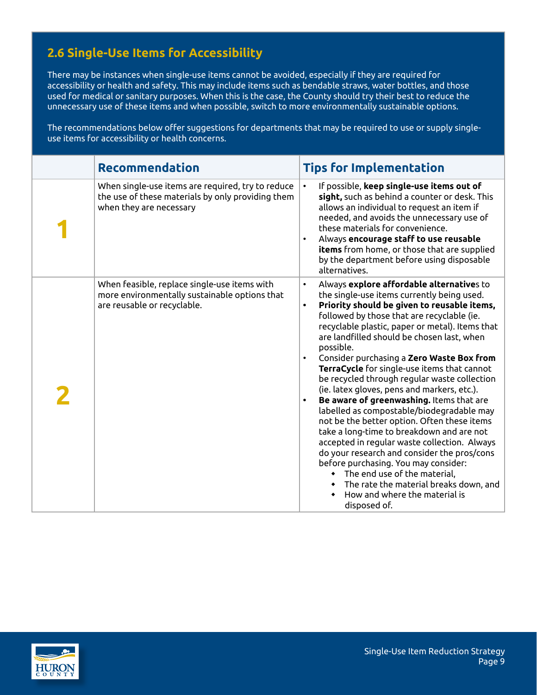### **2.6 Single-Use Items for Accessibility**

There may be instances when single-use items cannot be avoided, especially if they are required for accessibility or health and safety. This may include items such as bendable straws, water bottles, and those used for medical or sanitary purposes. When this is the case, the County should try their best to reduce the unnecessary use of these items and when possible, switch to more environmentally sustainable options.

The recommendations below offer suggestions for departments that may be required to use or supply singleuse items for accessibility or health concerns.

| <b>Recommendation</b>                                                                                                             | <b>Tips for Implementation</b>                                                                                                                                                                                                                                                                                                                                                                                                                                                                                                                                                                                                                                                                                                                                                                                                                                                                                                                                                                             |
|-----------------------------------------------------------------------------------------------------------------------------------|------------------------------------------------------------------------------------------------------------------------------------------------------------------------------------------------------------------------------------------------------------------------------------------------------------------------------------------------------------------------------------------------------------------------------------------------------------------------------------------------------------------------------------------------------------------------------------------------------------------------------------------------------------------------------------------------------------------------------------------------------------------------------------------------------------------------------------------------------------------------------------------------------------------------------------------------------------------------------------------------------------|
| When single-use items are required, try to reduce<br>the use of these materials by only providing them<br>when they are necessary | If possible, keep single-use items out of<br>$\bullet$<br>sight, such as behind a counter or desk. This<br>allows an individual to request an item if<br>needed, and avoids the unnecessary use of<br>these materials for convenience.<br>Always encourage staff to use reusable<br>items from home, or those that are supplied<br>by the department before using disposable<br>alternatives.                                                                                                                                                                                                                                                                                                                                                                                                                                                                                                                                                                                                              |
| When feasible, replace single-use items with<br>more environmentally sustainable options that<br>are reusable or recyclable.      | Always explore affordable alternatives to<br>$\bullet$<br>the single-use items currently being used.<br>Priority should be given to reusable items,<br>$\bullet$<br>followed by those that are recyclable (ie.<br>recyclable plastic, paper or metal). Items that<br>are landfilled should be chosen last, when<br>possible.<br>Consider purchasing a Zero Waste Box from<br>$\bullet$<br>TerraCycle for single-use items that cannot<br>be recycled through regular waste collection<br>(ie. latex gloves, pens and markers, etc.).<br>Be aware of greenwashing. Items that are<br>$\bullet$<br>labelled as compostable/biodegradable may<br>not be the better option. Often these items<br>take a long-time to breakdown and are not<br>accepted in regular waste collection. Always<br>do your research and consider the pros/cons<br>before purchasing. You may consider:<br>• The end use of the material,<br>The rate the material breaks down, and<br>How and where the material is<br>disposed of. |

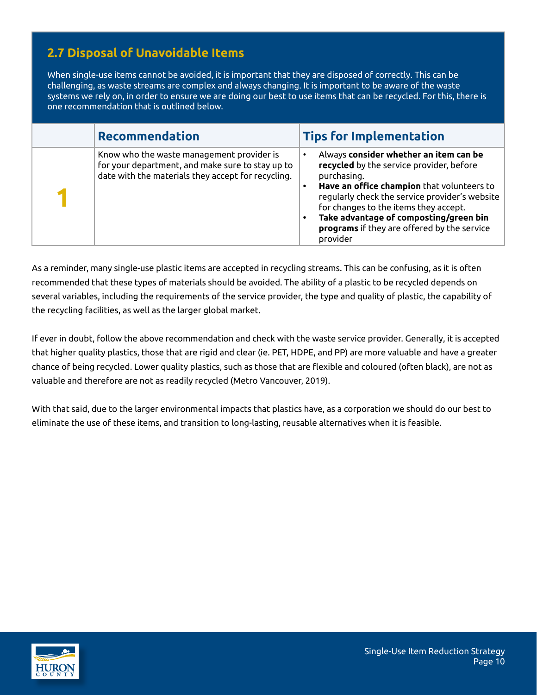### **2.7 Disposal of Unavoidable Items**

When single-use items cannot be avoided, it is important that they are disposed of correctly. This can be challenging, as waste streams are complex and always changing. It is important to be aware of the waste systems we rely on, in order to ensure we are doing our best to use items that can be recycled. For this, there is one recommendation that is outlined below.

| <b>Recommendation</b>                                                                                                                               | <b>Tips for Implementation</b>                                                                                                                                                                                                                                                                                                                  |
|-----------------------------------------------------------------------------------------------------------------------------------------------------|-------------------------------------------------------------------------------------------------------------------------------------------------------------------------------------------------------------------------------------------------------------------------------------------------------------------------------------------------|
| Know who the waste management provider is<br>for your department, and make sure to stay up to<br>date with the materials they accept for recycling. | Always consider whether an item can be<br>recycled by the service provider, before<br>purchasing.<br>Have an office champion that volunteers to<br>regularly check the service provider's website<br>for changes to the items they accept.<br>Take advantage of composting/green bin<br>programs if they are offered by the service<br>provider |

As a reminder, many single-use plastic items are accepted in recycling streams. This can be confusing, as it is often recommended that these types of materials should be avoided. The ability of a plastic to be recycled depends on several variables, including the requirements of the service provider, the type and quality of plastic, the capability of the recycling facilities, as well as the larger global market.

If ever in doubt, follow the above recommendation and check with the waste service provider. Generally, it is accepted that higher quality plastics, those that are rigid and clear (ie. PET, HDPE, and PP) are more valuable and have a greater chance of being recycled. Lower quality plastics, such as those that are flexible and coloured (often black), are not as valuable and therefore are not as readily recycled (Metro Vancouver, 2019).

With that said, due to the larger environmental impacts that plastics have, as a corporation we should do our best to eliminate the use of these items, and transition to long-lasting, reusable alternatives when it is feasible.